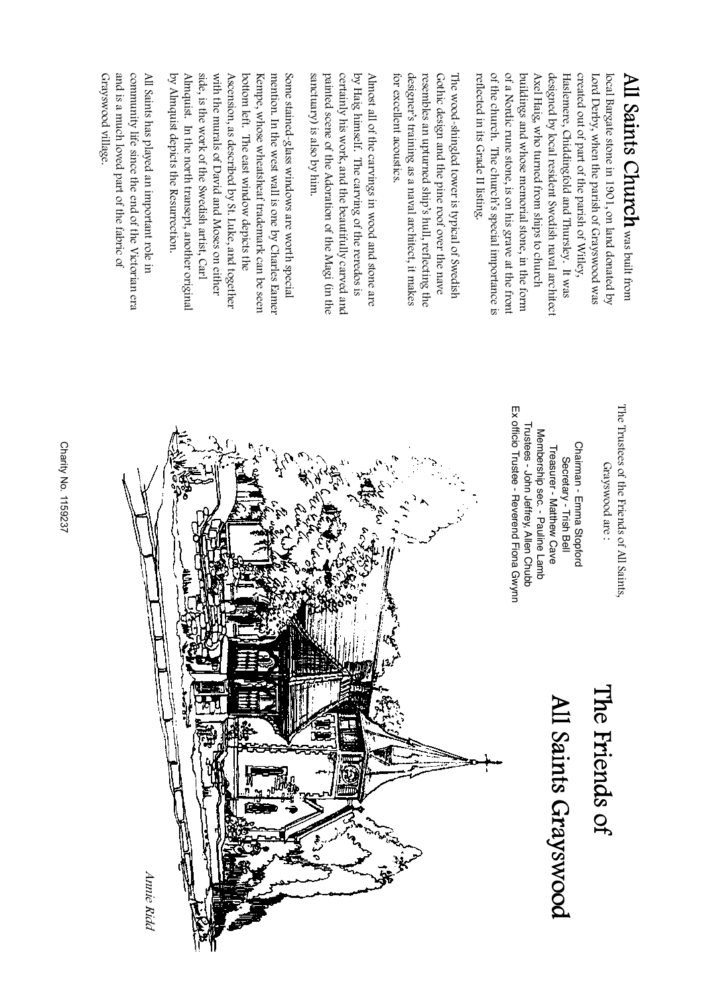**Charity No. 1159237** Charity No. 1159237